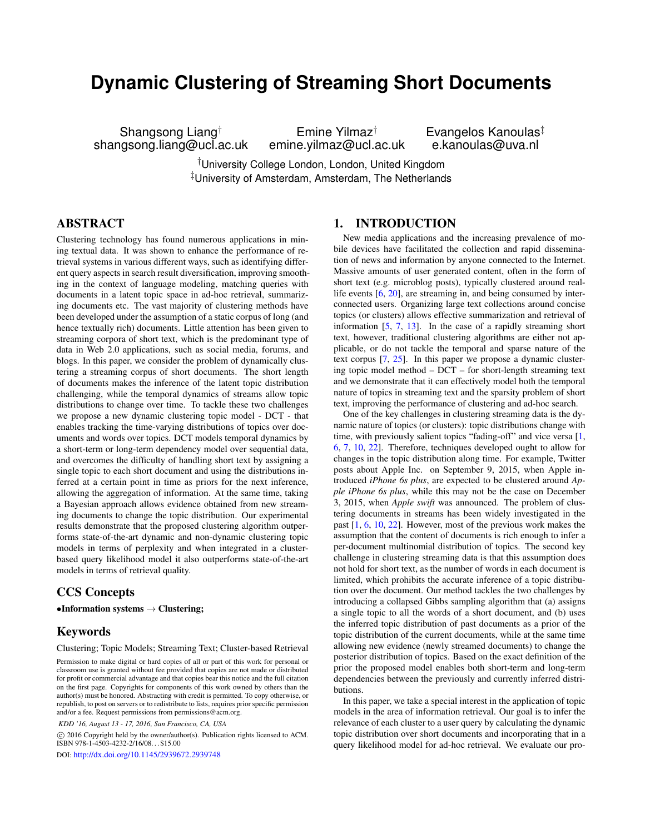# **Dynamic Clustering of Streaming Short Documents**

Shangsong Liang† shangsong.liang@ucl.ac.uk emine.yilmaz@ucl.ac.uk

Emine Yilmaz†

Evangelos Kanoulas‡ e.kanoulas@uva.nl

†University College London, London, United Kingdom ‡University of Amsterdam, Amsterdam, The Netherlands

# ABSTRACT

Clustering technology has found numerous applications in mining textual data. It was shown to enhance the performance of retrieval systems in various different ways, such as identifying different query aspects in search result diversification, improving smoothing in the context of language modeling, matching queries with documents in a latent topic space in ad-hoc retrieval, summarizing documents etc. The vast majority of clustering methods have been developed under the assumption of a static corpus of long (and hence textually rich) documents. Little attention has been given to streaming corpora of short text, which is the predominant type of data in Web 2.0 applications, such as social media, forums, and blogs. In this paper, we consider the problem of dynamically clustering a streaming corpus of short documents. The short length of documents makes the inference of the latent topic distribution challenging, while the temporal dynamics of streams allow topic distributions to change over time. To tackle these two challenges we propose a new dynamic clustering topic model - DCT - that enables tracking the time-varying distributions of topics over documents and words over topics. DCT models temporal dynamics by a short-term or long-term dependency model over sequential data, and overcomes the difficulty of handling short text by assigning a single topic to each short document and using the distributions inferred at a certain point in time as priors for the next inference, allowing the aggregation of information. At the same time, taking a Bayesian approach allows evidence obtained from new streaming documents to change the topic distribution. Our experimental results demonstrate that the proposed clustering algorithm outperforms state-of-the-art dynamic and non-dynamic clustering topic models in terms of perplexity and when integrated in a clusterbased query likelihood model it also outperforms state-of-the-art models in terms of retrieval quality.

# CCS Concepts

•Information systems  $\rightarrow$  Clustering;

# Keywords

Clustering; Topic Models; Streaming Text; Cluster-based Retrieval

*KDD '16, August 13 - 17, 2016, San Francisco, CA, USA*

 c 2016 Copyright held by the owner/author(s). Publication rights licensed to ACM. ISBN 978-1-4503-4232-2/16/08. . . \$15.00

DOI: <http://dx.doi.org/10.1145/2939672.2939748>

#### 1. INTRODUCTION

New media applications and the increasing prevalence of mobile devices have facilitated the collection and rapid dissemination of news and information by anyone connected to the Internet. Massive amounts of user generated content, often in the form of short text (e.g. microblog posts), typically clustered around reallife events [\[6,](#page-8-0) [20\]](#page-8-1), are streaming in, and being consumed by interconnected users. Organizing large text collections around concise topics (or clusters) allows effective summarization and retrieval of information [\[5,](#page-8-2) [7,](#page-8-3) [13\]](#page-8-4). In the case of a rapidly streaming short text, however, traditional clustering algorithms are either not applicable, or do not tackle the temporal and sparse nature of the text corpus [\[7,](#page-8-3) [25\]](#page-8-5). In this paper we propose a dynamic clustering topic model method – DCT – for short-length streaming text and we demonstrate that it can effectively model both the temporal nature of topics in streaming text and the sparsity problem of short text, improving the performance of clustering and ad-hoc search.

One of the key challenges in clustering streaming data is the dynamic nature of topics (or clusters): topic distributions change with time, with previously salient topics "fading-off" and vice versa [\[1,](#page-8-6) [6,](#page-8-0) [7,](#page-8-3) [10,](#page-8-7) [22\]](#page-8-8). Therefore, techniques developed ought to allow for changes in the topic distribution along time. For example, Twitter posts about Apple Inc. on September 9, 2015, when Apple introduced *iPhone 6s plus*, are expected to be clustered around *Apple iPhone 6s plus*, while this may not be the case on December 3, 2015, when *Apple swift* was announced. The problem of clustering documents in streams has been widely investigated in the past [\[1,](#page-8-6) [6,](#page-8-0) [10,](#page-8-7) [22\]](#page-8-8). However, most of the previous work makes the assumption that the content of documents is rich enough to infer a per-document multinomial distribution of topics. The second key challenge in clustering streaming data is that this assumption does not hold for short text, as the number of words in each document is limited, which prohibits the accurate inference of a topic distribution over the document. Our method tackles the two challenges by introducing a collapsed Gibbs sampling algorithm that (a) assigns a single topic to all the words of a short document, and (b) uses the inferred topic distribution of past documents as a prior of the topic distribution of the current documents, while at the same time allowing new evidence (newly streamed documents) to change the posterior distribution of topics. Based on the exact definition of the prior the proposed model enables both short-term and long-term dependencies between the previously and currently inferred distributions.

In this paper, we take a special interest in the application of topic models in the area of information retrieval. Our goal is to infer the relevance of each cluster to a user query by calculating the dynamic topic distribution over short documents and incorporating that in a query likelihood model for ad-hoc retrieval. We evaluate our pro-

Permission to make digital or hard copies of all or part of this work for personal or classroom use is granted without fee provided that copies are not made or distributed for profit or commercial advantage and that copies bear this notice and the full citation on the first page. Copyrights for components of this work owned by others than the author(s) must be honored. Abstracting with credit is permitted. To copy otherwise, or republish, to post on servers or to redistribute to lists, requires prior specific permission and/or a fee. Request permissions from permissions@acm.org.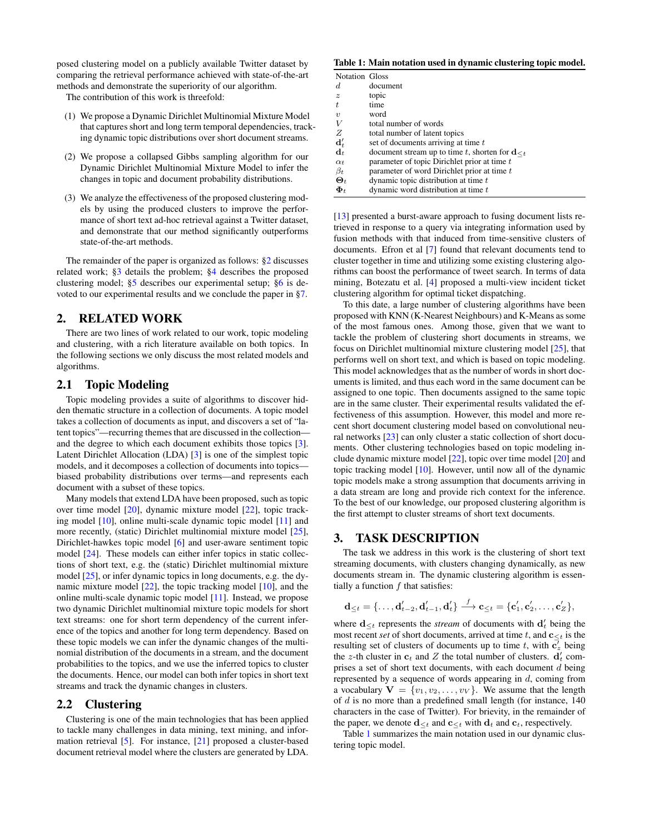posed clustering model on a publicly available Twitter dataset by comparing the retrieval performance achieved with state-of-the-art methods and demonstrate the superiority of our algorithm. The contribution of this work is threefold:

- (1) We propose a Dynamic Dirichlet Multinomial Mixture Model that captures short and long term temporal dependencies, tracking dynamic topic distributions over short document streams.
- (2) We propose a collapsed Gibbs sampling algorithm for our Dynamic Dirichlet Multinomial Mixture Model to infer the changes in topic and document probability distributions.
- (3) We analyze the effectiveness of the proposed clustering models by using the produced clusters to improve the performance of short text ad-hoc retrieval against a Twitter dataset, and demonstrate that our method significantly outperforms state-of-the-art methods.

The remainder of the paper is organized as follows: [§2](#page-1-0) discusses related work; [§3](#page-1-1) details the problem; [§4](#page-2-0) describes the proposed clustering model; [§5](#page-4-0) describes our experimental setup; [§6](#page-5-0) is devoted to our experimental results and we conclude the paper in [§7.](#page-7-0)

#### <span id="page-1-0"></span>2. RELATED WORK

There are two lines of work related to our work, topic modeling and clustering, with a rich literature available on both topics. In the following sections we only discuss the most related models and algorithms.

#### 2.1 Topic Modeling

Topic modeling provides a suite of algorithms to discover hidden thematic structure in a collection of documents. A topic model takes a collection of documents as input, and discovers a set of "latent topics"—recurring themes that are discussed in the collection and the degree to which each document exhibits those topics [\[3\]](#page-8-9). Latent Dirichlet Allocation (LDA) [\[3\]](#page-8-9) is one of the simplest topic models, and it decomposes a collection of documents into topics biased probability distributions over terms—and represents each document with a subset of these topics.

Many models that extend LDA have been proposed, such as topic over time model [\[20\]](#page-8-1), dynamic mixture model [\[22\]](#page-8-8), topic tracking model [\[10\]](#page-8-7), online multi-scale dynamic topic model [\[11\]](#page-8-10) and more recently, (static) Dirichlet multinomial mixture model [\[25\]](#page-8-5), Dirichlet-hawkes topic model [\[6\]](#page-8-0) and user-aware sentiment topic model [\[24\]](#page-8-11). These models can either infer topics in static collections of short text, e.g. the (static) Dirichlet multinomial mixture model [\[25\]](#page-8-5), or infer dynamic topics in long documents, e.g. the dynamic mixture model [\[22\]](#page-8-8), the topic tracking model [\[10\]](#page-8-7), and the online multi-scale dynamic topic model [\[11\]](#page-8-10). Instead, we propose two dynamic Dirichlet multinomial mixture topic models for short text streams: one for short term dependency of the current inference of the topics and another for long term dependency. Based on these topic models we can infer the dynamic changes of the multinomial distribution of the documents in a stream, and the document probabilities to the topics, and we use the inferred topics to cluster the documents. Hence, our model can both infer topics in short text streams and track the dynamic changes in clusters.

#### 2.2 Clustering

Clustering is one of the main technologies that has been applied to tackle many challenges in data mining, text mining, and information retrieval [\[5\]](#page-8-2). For instance, [\[21\]](#page-8-12) proposed a cluster-based document retrieval model where the clusters are generated by LDA.

#### <span id="page-1-2"></span>Table 1: Main notation used in dynamic clustering topic model.

| <b>Notation Gloss</b> |                                                                 |
|-----------------------|-----------------------------------------------------------------|
| d                     | document                                                        |
| $\boldsymbol{z}$      | topic                                                           |
| t.                    | time                                                            |
| $\boldsymbol{v}$      | word                                                            |
| V                     | total number of words                                           |
| Ζ                     | total number of latent topics                                   |
| $\mathbf{d}'_t$       | set of documents arriving at time t                             |
| $\mathbf{d}_t$        | document stream up to time t, shorten for $\mathbf{d}_{\leq t}$ |
| $\alpha_t$            | parameter of topic Dirichlet prior at time t                    |
| $\beta_t$             | parameter of word Dirichlet prior at time t                     |
| $\mathbf{\Theta}_t$   | dynamic topic distribution at time $t$                          |
| $\boldsymbol{\Phi}_t$ | dynamic word distribution at time t                             |

[\[13\]](#page-8-4) presented a burst-aware approach to fusing document lists retrieved in response to a query via integrating information used by fusion methods with that induced from time-sensitive clusters of documents. Efron et al [\[7\]](#page-8-3) found that relevant documents tend to cluster together in time and utilizing some existing clustering algorithms can boost the performance of tweet search. In terms of data mining, Botezatu et al. [\[4\]](#page-8-13) proposed a multi-view incident ticket clustering algorithm for optimal ticket dispatching.

To this date, a large number of clustering algorithms have been proposed with KNN (K-Nearest Neighbours) and K-Means as some of the most famous ones. Among those, given that we want to tackle the problem of clustering short documents in streams, we focus on Dirichlet multinomial mixture clustering model [\[25\]](#page-8-5), that performs well on short text, and which is based on topic modeling. This model acknowledges that as the number of words in short documents is limited, and thus each word in the same document can be assigned to one topic. Then documents assigned to the same topic are in the same cluster. Their experimental results validated the effectiveness of this assumption. However, this model and more recent short document clustering model based on convolutional neural networks [\[23\]](#page-8-14) can only cluster a static collection of short documents. Other clustering technologies based on topic modeling include dynamic mixture model [\[22\]](#page-8-8), topic over time model [\[20\]](#page-8-1) and topic tracking model [\[10\]](#page-8-7). However, until now all of the dynamic topic models make a strong assumption that documents arriving in a data stream are long and provide rich context for the inference. To the best of our knowledge, our proposed clustering algorithm is the first attempt to cluster streams of short text documents.

# <span id="page-1-1"></span>3. TASK DESCRIPTION

The task we address in this work is the clustering of short text streaming documents, with clusters changing dynamically, as new documents stream in. The dynamic clustering algorithm is essentially a function  $f$  that satisfies:

$$
\mathbf{d}_{\leq t} = \{\ldots, \mathbf{d}_{t-2}', \mathbf{d}_{t-1}', \mathbf{d}_t'\} \stackrel{f}{\longrightarrow} \mathbf{c}_{\leq t} = \{\mathbf{c}_1', \mathbf{c}_2', \ldots, \mathbf{c}_Z'\},\
$$

where  $\mathbf{d}_{\leq t}$  represents the *stream* of documents with  $\mathbf{d}'_t$  being the most recent *set* of short documents, arrived at time t, and  $\mathbf{c}_{\leq t}$  is the resulting set of clusters of documents up to time t, with  $\overline{c}'_z$  being the z-th cluster in  $c_t$  and Z the total number of clusters.  $d'_t$  comprises a set of short text documents, with each document  $d$  being represented by a sequence of words appearing in d, coming from a vocabulary  $V = \{v_1, v_2, \dots, v_V\}$ . We assume that the length of  $d$  is no more than a predefined small length (for instance,  $140$ characters in the case of Twitter). For brievity, in the remainder of the paper, we denote  $\mathbf{d}_{\leq t}$  and  $\mathbf{c}_{\leq t}$  with  $\mathbf{d}_t$  and  $\mathbf{c}_t$ , respectively.

Table [1](#page-1-2) summarizes the main notation used in our dynamic clustering topic model.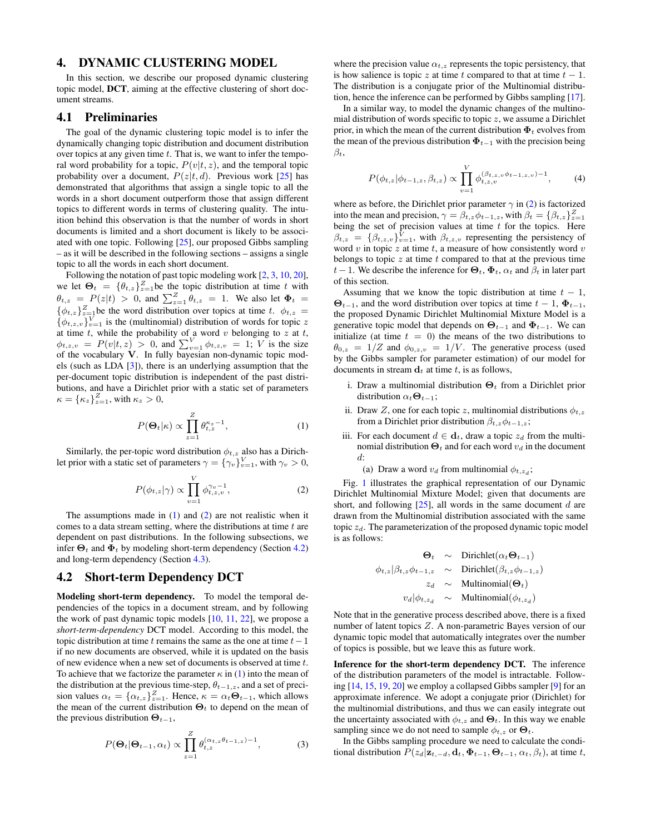#### <span id="page-2-0"></span>4. DYNAMIC CLUSTERING MODEL

In this section, we describe our proposed dynamic clustering topic model, DCT, aiming at the effective clustering of short document streams.

#### 4.1 Preliminaries

The goal of the dynamic clustering topic model is to infer the dynamically changing topic distribution and document distribution over topics at any given time  $t$ . That is, we want to infer the temporal word probability for a topic,  $P(v|t, z)$ , and the temporal topic probability over a document,  $P(z|t, d)$ . Previous work [\[25\]](#page-8-5) has demonstrated that algorithms that assign a single topic to all the words in a short document outperform those that assign different topics to different words in terms of clustering quality. The intuition behind this observation is that the number of words in short documents is limited and a short document is likely to be associated with one topic. Following [\[25\]](#page-8-5), our proposed Gibbs sampling – as it will be described in the following sections – assigns a single topic to all the words in each short document.

Following the notation of past topic modeling work [\[2,](#page-8-15) [3,](#page-8-9) [10,](#page-8-7) [20\]](#page-8-1), we let  $\Theta_t = {\theta_{t,z}}_{z=1}^Z$  be the topic distribution at time t with  $\theta_{t,z} = P(z|t) > 0$ , and  $\sum_{z=1}^{Z} \theta_{t,z} = 1$ . We also let  $\Phi_t =$  $\{\phi_{t,z}\}_{z=1}^Z$  be the word distribution over topics at time t.  $\phi_{t,z}$  =  $\{\phi_{t,z,v}\}_{v=1}^V$  is the (multinomial) distribution of words for topic z at time  $t$ , while the probability of a word  $v$  belonging to  $z$  at  $t$ ,  $\phi_{t,z,v}$  =  $P(v|t,z) > 0$ , and  $\sum_{v=1}^{V} \phi_{t,z,v}$  = 1; V is the size of the vocabulary  $\overline{V}$ . In fully bayesian non-dynamic topic models (such as LDA [\[3\]](#page-8-9)), there is an underlying assumption that the per-document topic distribution is independent of the past distributions, and have a Dirichlet prior with a static set of parameters  $\kappa = {\{\kappa_z\}}_{z=1}^Z$ , with  $\kappa_z > 0$ ,

<span id="page-2-1"></span>
$$
P(\mathbf{\Theta}_t|\kappa) \propto \prod_{z=1}^{Z} \theta_{t,z}^{\kappa_z - 1},\tag{1}
$$

Similarly, the per-topic word distribution  $\phi_{t,z}$  also has a Dirichlet prior with a static set of parameters  $\gamma = {\{\gamma_v\}}_{v=1}^V$ , with  $\gamma_v > 0$ ,

<span id="page-2-2"></span>
$$
P(\phi_{t,z}|\gamma) \propto \prod_{v=1}^{V} \phi_{t,z,v}^{\gamma_v - 1},\tag{2}
$$

The assumptions made in  $(1)$  and  $(2)$  are not realistic when it comes to a data stream setting, where the distributions at time  $t$  are dependent on past distributions. In the following subsections, we infer  $\Theta_t$  and  $\Phi_t$  by modeling short-term dependency (Section [4.2\)](#page-2-3) and long-term dependency (Section [4.3\)](#page-3-0).

#### <span id="page-2-3"></span>4.2 Short-term Dependency DCT

Modeling short-term dependency. To model the temporal dependencies of the topics in a document stream, and by following the work of past dynamic topic models  $[10, 11, 22]$  $[10, 11, 22]$  $[10, 11, 22]$  $[10, 11, 22]$  $[10, 11, 22]$ , we propose a *short-term-dependency* DCT model. According to this model, the topic distribution at time t remains the same as the one at time  $t-1$ if no new documents are observed, while it is updated on the basis of new evidence when a new set of documents is observed at time t. To achieve that we factorize the parameter  $\kappa$  in [\(1\)](#page-2-1) into the mean of the distribution at the previous time-step,  $\theta_{t-1,z}$ , and a set of precision values  $\alpha_t = {\alpha_{t,z}}_{z=1}^Z$ . Hence,  $\kappa = \alpha_t \Theta_{t-1}$ , which allows the mean of the current distribution  $\Theta_t$  to depend on the mean of the previous distribution  $\Theta_{t-1}$ ,

<span id="page-2-4"></span>
$$
P(\mathbf{\Theta}_t|\mathbf{\Theta}_{t-1}, \alpha_t) \propto \prod_{z=1}^{Z} \theta_{t,z}^{(\alpha_{t,z}\theta_{t-1,z})-1}, \qquad (3)
$$

where the precision value  $\alpha_{t,z}$  represents the topic persistency, that is how salience is topic z at time t compared to that at time  $t - 1$ . The distribution is a conjugate prior of the Multinomial distribution, hence the inference can be performed by Gibbs sampling [\[17\]](#page-8-16).

In a similar way, to model the dynamic changes of the multinomial distribution of words specific to topic  $z$ , we assume a Dirichlet prior, in which the mean of the current distribution  $\Phi_t$  evolves from the mean of the previous distribution  $\Phi_{t-1}$  with the precision being  $\beta_t$ 

$$
P(\phi_{t,z}|\phi_{t-1,z},\beta_{t,z}) \propto \prod_{v=1}^{V} \phi_{t,z,v}^{(\beta_{t,z,v}\phi_{t-1,z,v})-1},\qquad(4)
$$

where as before, the Dirichlet prior parameter  $\gamma$  in [\(2\)](#page-2-2) is factorized into the mean and precision,  $\gamma = \beta_{t,z} \phi_{t-1,z}$ , with  $\beta_t = {\beta_{t,z}} \}_{z=1}^Z$ being the set of precision values at time  $t$  for the topics. Here  $\beta_{t,z} = \{\beta_{t,z,v}\}_{v=1}^V$ , with  $\beta_{t,z,v}$  representing the persistency of word  $v$  in topic  $z$  at time  $t$ , a measure of how consistently word  $v$ belongs to topic  $z$  at time  $t$  compared to that at the previous time t − 1. We describe the inference for  $\Theta_t$ ,  $\Phi_t$ ,  $\alpha_t$  and  $\beta_t$  in later part of this section.

Assuming that we know the topic distribution at time  $t - 1$ ,  $\Theta_{t-1}$ , and the word distribution over topics at time  $t-1$ ,  $\Phi_{t-1}$ , the proposed Dynamic Dirichlet Multinomial Mixture Model is a generative topic model that depends on  $\Theta_{t-1}$  and  $\Phi_{t-1}$ . We can initialize (at time  $t = 0$ ) the means of the two distributions to  $\theta_{0,z} = 1/Z$  and  $\phi_{0,z,v} = 1/V$ . The generative process (used by the Gibbs sampler for parameter estimation) of our model for documents in stream  $\mathbf{d}_t$  at time t, is as follows,

- i. Draw a multinomial distribution  $\Theta_t$  from a Dirichlet prior distribution  $\alpha_t \Theta_{t-1}$ ;
- ii. Draw Z, one for each topic z, multinomial distributions  $\phi_{t,z}$ from a Dirichlet prior distribution  $\beta_{t,z}\phi_{t-1,z}$ ;
- iii. For each document  $d \in \mathbf{d}_t$ , draw a topic  $z_d$  from the multinomial distribution  $\Theta_t$  and for each word  $v_d$  in the document d:

(a) Draw a word  $v_d$  from multinomial  $\phi_{t,z_d}$ ;

Fig. [1](#page-3-1) illustrates the graphical representation of our Dynamic Dirichlet Multinomial Mixture Model; given that documents are short, and following  $[25]$ , all words in the same document d are drawn from the Multinomial distribution associated with the same topic  $z_d$ . The parameterization of the proposed dynamic topic model is as follows:

$$
\begin{array}{rcl}\n\mathbf{\Theta}_{t} & \sim & \text{Dirichlet}(\alpha_{t}\mathbf{\Theta}_{t-1}) \\
\phi_{t,z}|\beta_{t,z}\phi_{t-1,z} & \sim & \text{Dirichlet}(\beta_{t,z}\phi_{t-1,z}) \\
z_d & \sim & \text{Multinomial}(\mathbf{\Theta}_{t}) \\
v_d|\phi_{t,z_d} & \sim & \text{Multinomial}(\phi_{t,z_d})\n\end{array}
$$

Note that in the generative process described above, there is a fixed number of latent topics Z. A non-parametric Bayes version of our dynamic topic model that automatically integrates over the number of topics is possible, but we leave this as future work.

Inference for the short-term dependency DCT. The inference of the distribution parameters of the model is intractable. Following [\[14,](#page-8-17) [15,](#page-8-18) [19,](#page-8-19) [20\]](#page-8-1) we employ a collapsed Gibbs sampler [\[9\]](#page-8-20) for an approximate inference. We adopt a conjugate prior (Dirichlet) for the multinomial distributions, and thus we can easily integrate out the uncertainty associated with  $\phi_{t,z}$  and  $\Theta_t$ . In this way we enable sampling since we do not need to sample  $\phi_{t,z}$  or  $\Theta_t$ .

In the Gibbs sampling procedure we need to calculate the conditional distribution  $P(z_d|\mathbf{z}_{t,-d}, \mathbf{d}_t, \mathbf{\Phi}_{t-1}, \Theta_{t-1}, \alpha_t, \beta_t)$ , at time t,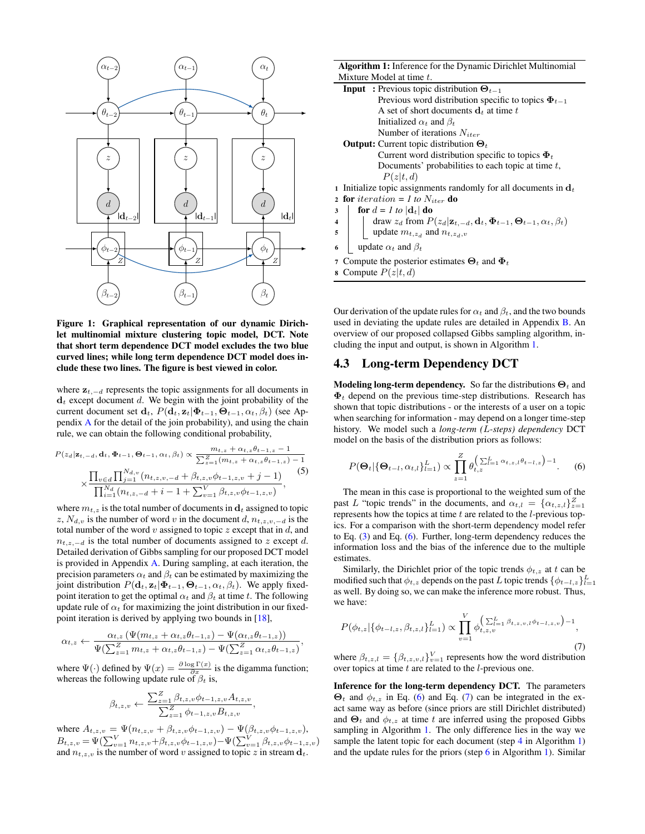

<span id="page-3-1"></span>Figure 1: Graphical representation of our dynamic Dirichlet multinomial mixture clustering topic model, DCT. Note that short term dependence DCT model excludes the two blue curved lines; while long term dependence DCT model does include these two lines. The figure is best viewed in color.

where  $z_{t,-d}$  represents the topic assignments for all documents in  $\mathbf{d}_t$  except document d. We begin with the joint probability of the current document set  $\mathbf{d}_t$ ,  $P(\mathbf{d}_t, \mathbf{z}_t | \mathbf{\Phi}_{t-1}, \mathbf{\Theta}_{t-1}, \alpha_t, \beta_t)$  (see Appendix [A](#page-8-21) for the detail of the join probability), and using the chain rule, we can obtain the following conditional probability,

<span id="page-3-7"></span>
$$
P(z_d|\mathbf{z}_{t,-d}, \mathbf{d}_t, \Phi_{t-1}, \Theta_{t-1}, \alpha_t, \beta_t) \propto \frac{m_{t,z} + \alpha_{t,z} \theta_{t-1,z} - 1}{\sum_{z=1}^Z (m_{t,z} + \alpha_{t,z} \theta_{t-1,z}) - 1} \times \frac{\prod_{v \in d} \prod_{j=1}^{N_{d,v}} (n_{t,z,v,-d} + \beta_{t,z,v} \phi_{t-1,z,v} + j - 1)}{\prod_{i=1}^{N_d} (n_{t,z,-d} + i - 1 + \sum_{v=1}^{V} \beta_{t,z,v} \phi_{t-1,z,v})},
$$
\n(5)

where  $m_{t,z}$  is the total number of documents in  $d_t$  assigned to topic z,  $N_{d,v}$  is the number of word v in the document d,  $n_{t,z,v,-d}$  is the total number of the word  $v$  assigned to topic  $z$  except that in  $d$ , and  $n_{t,z,-d}$  is the total number of documents assigned to z except d. Detailed derivation of Gibbs sampling for our proposed DCT model is provided in Appendix [A.](#page-8-21) During sampling, at each iteration, the precision parameters  $\alpha_t$  and  $\beta_t$  can be estimated by maximizing the joint distribution  $P(\mathbf{d}_t, \mathbf{z}_t | \mathbf{\Phi}_{t-1}, \mathbf{\Theta}_{t-1}, \alpha_t, \beta_t)$ . We apply fixedpoint iteration to get the optimal  $\alpha_t$  and  $\beta_t$  at time t. The following update rule of  $\alpha_t$  for maximizing the joint distribution in our fixedpoint iteration is derived by applying two bounds in [\[18\]](#page-8-22),

$$
\alpha_{t,z} \leftarrow \frac{\alpha_{t,z} \left( \Psi(m_{t,z} + \alpha_{t,z} \theta_{t-1,z}) - \Psi(\alpha_{t,z} \theta_{t-1,z}) \right)}{\Psi(\sum_{z=1}^Z m_{t,z} + \alpha_{t,z} \theta_{t-1,z}) - \Psi(\sum_{z=1}^Z \alpha_{t,z} \theta_{t-1,z})},
$$

where  $\Psi(\cdot)$  defined by  $\Psi(x) = \frac{\partial \log \Gamma(x)}{\partial x}$  is the digamma function; whereas the following update rule of  $\beta_t$  is,

$$
\beta_{t,z,v} \leftarrow \frac{\sum_{z=1}^{Z} \beta_{t,z,v} \phi_{t-1,z,v} A_{t,z,v}}{\sum_{z=1}^{Z} \phi_{t-1,z,v} B_{t,z,v}},
$$

where  $A_{t,z,v} = \Psi(n_{t,z,v} + \beta_{t,z,v} \phi_{t-1,z,v}) - \Psi(\beta_{t,z,v} \phi_{t-1,z,v}),$  $B_{t,z,v} = \Psi(\sum_{v=1}^{V} n_{t,z,v} + \beta_{t,z,v} \phi_{t-1,z,v}) - \Psi(\sum_{v=1}^{V} \beta_{t,z,v} \phi_{t-1,z,v})$ and  $n_{t,z,v}$  is the number of word v assigned to topic z in stream  $d_t$ .

| <b>Algorithm 1:</b> Inference for the Dynamic Dirichlet Multinomial                                                                                  |  |  |  |  |  |
|------------------------------------------------------------------------------------------------------------------------------------------------------|--|--|--|--|--|
| Mixture Model at time t.                                                                                                                             |  |  |  |  |  |
| <b>Input</b> : Previous topic distribution $\Theta_{t-1}$                                                                                            |  |  |  |  |  |
| Previous word distribution specific to topics $\Phi_{t-1}$                                                                                           |  |  |  |  |  |
| A set of short documents $\mathbf{d}_t$ at time t                                                                                                    |  |  |  |  |  |
| Initialized $\alpha_t$ and $\beta_t$                                                                                                                 |  |  |  |  |  |
| Number of iterations $N_{iter}$                                                                                                                      |  |  |  |  |  |
| <b>Output:</b> Current topic distribution $\Theta_t$                                                                                                 |  |  |  |  |  |
| Current word distribution specific to topics $\Phi_t$                                                                                                |  |  |  |  |  |
| Documents' probabilities to each topic at time $t$ ,                                                                                                 |  |  |  |  |  |
| P(z t, d)                                                                                                                                            |  |  |  |  |  |
| Initialize topic assignments randomly for all documents in $\mathbf{d}_t$<br>1                                                                       |  |  |  |  |  |
| <b>for</b> iteration = 1 to $N_{iter}$ <b>do</b><br>$\mathbf{2}$                                                                                     |  |  |  |  |  |
| for $d = 1$ to $ \mathbf{d}_t $ do<br>3                                                                                                              |  |  |  |  |  |
| draw $z_d$ from $P(z_d   \mathbf{z}_{t,-d}, \mathbf{d}_t, \mathbf{\Phi}_{t-1}, \mathbf{\Theta}_{t-1}, \alpha_t, \beta_t)$<br>$\overline{\mathbf{4}}$ |  |  |  |  |  |
| update $m_{t,z_d}$ and $n_{t,z_d,v}$<br>5                                                                                                            |  |  |  |  |  |
| update $\alpha_t$ and $\beta_t$<br>6                                                                                                                 |  |  |  |  |  |
| Compute the posterior estimates $\Theta_t$ and $\Phi_t$<br>7                                                                                         |  |  |  |  |  |
| <b>8</b> Compute $P(z t, d)$                                                                                                                         |  |  |  |  |  |

<span id="page-3-6"></span><span id="page-3-5"></span><span id="page-3-2"></span>Our derivation of the update rules for  $\alpha_t$  and  $\beta_t$ , and the two bounds used in deviating the update rules are detailed in Appendix [B.](#page-9-0) An overview of our proposed collapsed Gibbs sampling algorithm, including the input and output, is shown in Algorithm [1.](#page-3-2)

### <span id="page-3-0"></span>4.3 Long-term Dependency DCT

**Modeling long-term dependency.** So far the distributions  $\Theta_t$  and  $\Phi_t$  depend on the previous time-step distributions. Research has shown that topic distributions - or the interests of a user on a topic when searching for information - may depend on a longer time-step history. We model such a *long-term (*L*-steps) dependency* DCT model on the basis of the distribution priors as follows:

<span id="page-3-3"></span>
$$
P(\mathbf{\Theta}_t | \{\mathbf{\Theta}_{t-l}, \alpha_{t,l}\}_{l=1}^L) \propto \prod_{z=1}^Z \theta_{t,z}^{\left(\sum_{l=1}^L \alpha_{t,z,l} \theta_{t-l,z}\right) - 1}.
$$
 (6)

The mean in this case is proportional to the weighted sum of the past L "topic trends" in the documents, and  $\alpha_{t,l} = {\alpha_{t,z,l}}_{z=1}^Z$ represents how the topics at time  $t$  are related to the  $l$ -previous topics. For a comparison with the short-term dependency model refer to Eq. [\(3\)](#page-2-4) and Eq. [\(6\)](#page-3-3). Further, long-term dependency reduces the information loss and the bias of the inference due to the multiple estimates.

Similarly, the Dirichlet prior of the topic trends  $\phi_{t,z}$  at t can be modified such that  $\phi_{t,z}$  depends on the past L topic trends  $\{\phi_{t-l,z}\}_{l=1}^L$ as well. By doing so, we can make the inference more robust. Thus, we have:

<span id="page-3-4"></span>
$$
P(\phi_{t,z}|\{\phi_{t-l,z}, \beta_{t,z,l}\}_{l=1}^L) \propto \prod_{v=1}^V \phi_{t,z,v}^{\left(\sum_{l=1}^L \beta_{t,z,v,l} \phi_{t-l,z,v}\right) - 1},\tag{7}
$$

where  $\beta_{t,z,l} = {\beta_{t,z,v,l}}_{v=1}^V$  represents how the word distribution over topics at time  $t$  are related to the  $l$ -previous one.

Inference for the long-term dependency DCT. The parameters  $\Theta_t$  and  $\phi_{t,z}$  in Eq. [\(6\)](#page-3-3) and Eq. [\(7\)](#page-3-4) can be integrated in the exact same way as before (since priors are still Dirichlet distributed) and  $\Theta_t$  and  $\phi_{t,z}$  at time t are inferred using the proposed Gibbs sampling in Algorithm [1.](#page-3-2) The only difference lies in the way we sample the latent topic for each document (step [4](#page-3-5) in Algorithm [1\)](#page-3-2) and the update rules for the priors (step [6](#page-3-6) in Algorithm [1\)](#page-3-2). Similar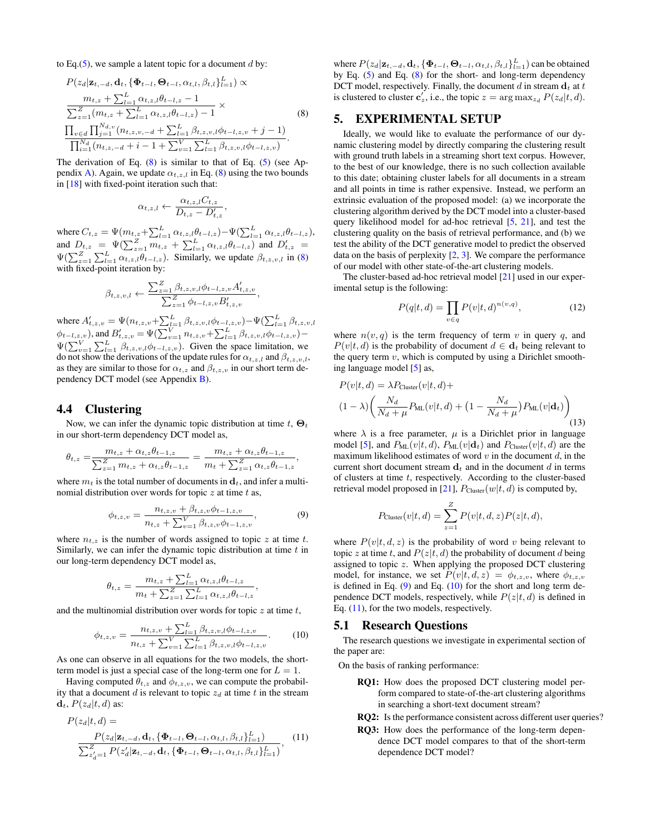to Eq.[\(5\)](#page-3-7), we sample a latent topic for a document  $d$  by:

<span id="page-4-1"></span>
$$
P(z_d|\mathbf{z}_{t,-d},\mathbf{d}_t, \{\Phi_{t-l}, \Theta_{t-l}, \alpha_{t,l}, \beta_{t,l}\}_{l=1}^L) \propto
$$
  
\n
$$
\frac{m_{t,z} + \sum_{l=1}^L \alpha_{t,z,l} \theta_{t-l,z} - 1}{\sum_{z=1}^Z (m_{t,z} + \sum_{l=1}^L \alpha_{t,z,l} \theta_{t-l,z}) - 1} \times
$$
  
\n
$$
\frac{\prod_{v \in d} \prod_{j=1}^{N_{d,v}} (n_{t,z,v,-d} + \sum_{l=1}^L \beta_{t,z,v,l} \phi_{t-l,z,v} + j - 1)}{\prod_{i=1}^{N_d} (n_{t,z,-d} + i - 1 + \sum_{v=1}^V \sum_{l=1}^L \beta_{t,z,v,l} \phi_{t-l,z,v})}.
$$
\n(8)

The derivation of Eq.  $(8)$  is similar to that of Eq.  $(5)$  (see Ap-pendix [A\)](#page-8-21). Again, we update  $\alpha_{t,z,l}$  in Eq. [\(8\)](#page-4-1) using the two bounds in [\[18\]](#page-8-22) with fixed-point iteration such that:

$$
\alpha_{t,z,l} \leftarrow \frac{\alpha_{t,z,l} C_{t,z}}{D_{t,z} - D'_{t,z}},
$$

where  $C_{t,z} = \Psi(m_{t,z} + \sum_{l=1}^{L} \alpha_{t,z,l} \theta_{t-l,z}) - \Psi(\sum_{l=1}^{L} \alpha_{t,z,l} \theta_{t-l,z}),$ and  $D_{t,z} = \Psi(\sum_{z=1}^{Z} m_{t,z} + \sum_{l=1}^{L} \alpha_{t,z,l} \theta_{t-l,z})$  and  $D'_{t,z} =$  $\Psi(\sum_{z=1}^{Z} \sum_{l=1}^{L} \alpha_{t,z,l} \theta_{t-l,z})$ . Similarly, we update  $\beta_{t,z,v,l}$  in [\(8\)](#page-4-1) with fixed-point iteration by:

$$
\beta_{t,z,v,l} \leftarrow \frac{\sum_{z=1}^{Z} \beta_{t,z,v,l} \phi_{t-l,z,v} A'_{t,z,v}}{\sum_{z=1}^{Z} \phi_{t-l,z,v} B'_{t,z,v}},
$$

where  $A'_{t,z,v} = \Psi(n_{t,z,v} + \sum_{l=1}^{L} \beta_{t,z,v,l} \phi_{t-l,z,v}) - \Psi(\sum_{l=1}^{L} \beta_{t,z,v,l})$  $\phi_{t-l,z,v}$ ), and  $B'_{t,z,v} = \Psi(\sum_{v=1}^{V} n_{t,z,v} + \sum_{l=1}^{L} \beta_{t,z,v,l} \phi_{t-l,z,v}) \Psi(\sum_{v=1}^{V} \sum_{l=1}^{L} \beta_{t,z,v,l} \phi_{t-l,z,v}).$  Given the space limitation, we do not show the derivations of the update rules for  $\alpha_{t,z,l}$  and  $\beta_{t,z,v,l}$ , as they are similar to those for  $\alpha_{t,z}$  and  $\beta_{t,z,v}$  in our short term dependency DCT model (see Appendix [B\)](#page-9-0).

#### 4.4 Clustering

Now, we can infer the dynamic topic distribution at time t,  $\Theta_t$ in our short-term dependency DCT model as,

$$
\theta_{t,z} = \frac{m_{t,z} + \alpha_{t,z}\theta_{t-1,z}}{\sum_{z=1}^{Z} m_{t,z} + \alpha_{t,z}\theta_{t-1,z}} = \frac{m_{t,z} + \alpha_{t,z}\theta_{t-1,z}}{m_{t} + \sum_{z=1}^{Z} \alpha_{t,z}\theta_{t-1,z}},
$$

where  $m_t$  is the total number of documents in  $\mathbf{d}_t$ , and infer a multinomial distribution over words for topic  $z$  at time  $t$  as,

<span id="page-4-2"></span>
$$
\phi_{t,z,v} = \frac{n_{t,z,v} + \beta_{t,z,v} \phi_{t-1,z,v}}{n_{t,z} + \sum_{v=1}^{V} \beta_{t,z,v} \phi_{t-1,z,v}},
$$
(9)

where  $n_{t,z}$  is the number of words assigned to topic z at time t. Similarly, we can infer the dynamic topic distribution at time  $t$  in our long-term dependency DCT model as,

$$
\theta_{t,z} = \frac{m_{t,z} + \sum_{l=1}^{L} \alpha_{t,z,l} \theta_{t-l,z}}{m_t + \sum_{z=1}^{Z} \sum_{l=1}^{L} \alpha_{t,z,l} \theta_{t-l,z}},
$$

and the multinomial distribution over words for topic  $z$  at time  $t$ ,

<span id="page-4-3"></span>
$$
\phi_{t,z,v} = \frac{n_{t,z,v} + \sum_{l=1}^{L} \beta_{t,z,v,l} \phi_{t-l,z,v}}{n_{t,z} + \sum_{v=1}^{V} \sum_{l=1}^{L} \beta_{t,z,v,l} \phi_{t-l,z,v}}.
$$
(10)

As one can observe in all equations for the two models, the shortterm model is just a special case of the long-term one for  $L = 1$ .

Having computed  $\theta_{t,z}$  and  $\phi_{t,z,v}$ , we can compute the probability that a document d is relevant to topic  $z_d$  at time t in the stream  $\mathbf{d}_t$ ,  $P(z_d|t, d)$  as:

<span id="page-4-4"></span>
$$
P(z_d|t, d) =
$$
  
\n
$$
\frac{P(z_d|\mathbf{z}_{t, -d}, \mathbf{d}_t, {\{\Phi}_{t-l}, \Theta_{t-l}, \alpha_{t,l}, \beta_{t,l}\}_{l=1}^L)}{\sum_{z_d'=1}^Z P(z_d'|\mathbf{z}_{t, -d}, \mathbf{d}_t, {\{\Phi}_{t-l}, \Theta_{t-l}, \alpha_{t,l}, \beta_{t,l}\}_{l=1}^L)},
$$
\n(11)

where  $P(z_d|\mathbf{z}_{t,-d}, \mathbf{d}_t, \{\mathbf{\Phi}_{t-l}, \mathbf{\Theta}_{t-l}, \alpha_{t,l}, \beta_{t,l}\}_{l=1}^L)$  can be obtained by Eq. [\(5\)](#page-3-7) and Eq. [\(8\)](#page-4-1) for the short- and long-term dependency DCT model, respectively. Finally, the document  $d$  in stream  $\mathbf{d}_t$  at  $t$ is clustered to cluster  $\mathbf{c}'_z$ , i.e., the topic  $z = \arg \max_{z_d} P(z_d|t, d)$ .

#### <span id="page-4-0"></span>5. EXPERIMENTAL SETUP

Ideally, we would like to evaluate the performance of our dynamic clustering model by directly comparing the clustering result with ground truth labels in a streaming short text corpus. However, to the best of our knowledge, there is no such collection available to this date; obtaining cluster labels for all documents in a stream and all points in time is rather expensive. Instead, we perform an extrinsic evaluation of the proposed model: (a) we incorporate the clustering algorithm derived by the DCT model into a cluster-based query likelihood model for ad-hoc retrieval [\[5,](#page-8-2) [21\]](#page-8-12), and test the clustering quality on the basis of retrieval performance, and (b) we test the ability of the DCT generative model to predict the observed data on the basis of perplexity  $[2, 3]$  $[2, 3]$  $[2, 3]$ . We compare the performance of our model with other state-of-the-art clustering models.

The cluster-based ad-hoc retrieval model [\[21\]](#page-8-12) used in our experimental setup is the following:

<span id="page-4-6"></span>
$$
P(q|t, d) = \prod_{v \in q} P(v|t, d)^{n(v, q)},
$$
\n(12)

where  $n(v, q)$  is the term frequency of term v in query q, and  $P(v|t, d)$  is the probability of document  $d \in \mathbf{d}_t$  being relevant to the query term  $v$ , which is computed by using a Dirichlet smoothing language model [\[5\]](#page-8-2) as,

<span id="page-4-5"></span>
$$
P(v|t, d) = \lambda P_{\text{Cluster}}(v|t, d) +
$$
  

$$
(1 - \lambda) \left( \frac{N_d}{N_d + \mu} P_{\text{ML}}(v|t, d) + \left( 1 - \frac{N_d}{N_d + \mu} \right) P_{\text{ML}}(v|d_t) \right)
$$
(13)

where  $\lambda$  is a free parameter,  $\mu$  is a Dirichlet prior in language model [\[5\]](#page-8-2), and  $P_{ML}(v|t, d)$ ,  $P_{ML}(v|\mathbf{d}_t)$  and  $P_{Cluster}(v|t, d)$  are the maximum likelihood estimates of word  $v$  in the document  $d$ , in the current short document stream  $\mathbf{d}_t$  and in the document d in terms of clusters at time t, respectively. According to the cluster-based retrieval model proposed in [\[21\]](#page-8-12),  $P_{\text{Cluster}}(w|t, d)$  is computed by,

$$
P_{\text{Cluster}}(v|t, d) = \sum_{z=1}^{Z} P(v|t, d, z) P(z|t, d),
$$

where  $P(v|t, d, z)$  is the probability of word v being relevant to topic z at time t, and  $P(z|t, d)$  the probability of document d being assigned to topic z. When applying the proposed DCT clustering model, for instance, we set  $P(v|t, d, z) = \phi_{t,z,y}$ , where  $\phi_{t,z,y}$ is defined in Eq.  $(9)$  and Eq.  $(10)$  for the short and long term dependence DCT models, respectively, while  $P(z|t, d)$  is defined in Eq.  $(11)$ , for the two models, respectively.

## 5.1 Research Questions

The research questions we investigate in experimental section of the paper are:

On the basis of ranking performance:

- RQ1: How does the proposed DCT clustering model perform compared to state-of-the-art clustering algorithms in searching a short-text document stream?
- RQ2: Is the performance consistent across different user queries?
- RQ3: How does the performance of the long-term dependence DCT model compares to that of the short-term dependence DCT model?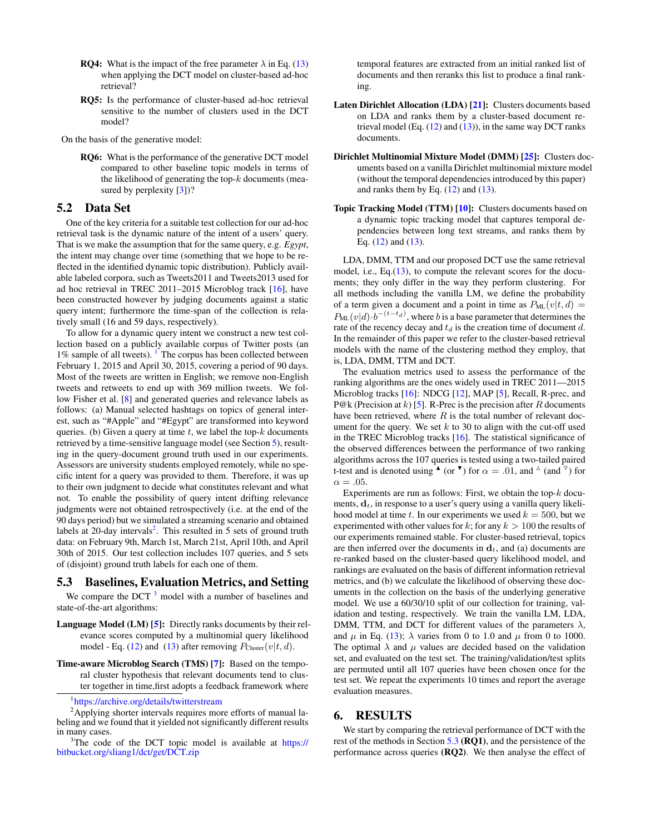- **RQ4:** What is the impact of the free parameter  $\lambda$  in Eq. [\(13\)](#page-4-5) when applying the DCT model on cluster-based ad-hoc retrieval?
- RQ5: Is the performance of cluster-based ad-hoc retrieval sensitive to the number of clusters used in the DCT model?

On the basis of the generative model:

RQ6: What is the performance of the generative DCT model compared to other baseline topic models in terms of the likelihood of generating the top- $k$  documents (mea-sured by perplexity [\[3\]](#page-8-9))?

#### 5.2 Data Set

One of the key criteria for a suitable test collection for our ad-hoc retrieval task is the dynamic nature of the intent of a users' query. That is we make the assumption that for the same query, e.g. *Egypt*, the intent may change over time (something that we hope to be reflected in the identified dynamic topic distribution). Publicly available labeled corpora, such as Tweets2011 and Tweets2013 used for ad hoc retrieval in TREC 2011–2015 Microblog track [\[16\]](#page-8-23), have been constructed however by judging documents against a static query intent; furthermore the time-span of the collection is relatively small (16 and 59 days, respectively).

To allow for a dynamic query intent we construct a new test collection based on a publicly available corpus of Twitter posts (an  $1\%$  $1\%$  sample of all tweets). <sup>1</sup> The corpus has been collected between February 1, 2015 and April 30, 2015, covering a period of 90 days. Most of the tweets are written in English; we remove non-English tweets and retweets to end up with 369 million tweets. We follow Fisher et al. [\[8\]](#page-8-24) and generated queries and relevance labels as follows: (a) Manual selected hashtags on topics of general interest, such as "#Apple" and "#Egypt" are transformed into keyword queries. (b) Given a query at time  $t$ , we label the top- $k$  documents retrieved by a time-sensitive language model (see Section [5\)](#page-4-0), resulting in the query-document ground truth used in our experiments. Assessors are university students employed remotely, while no specific intent for a query was provided to them. Therefore, it was up to their own judgment to decide what constitutes relevant and what not. To enable the possibility of query intent drifting relevance judgments were not obtained retrospectively (i.e. at the end of the 90 days period) but we simulated a streaming scenario and obtained labels at [2](#page-5-2)0-day intervals<sup>2</sup>. This resulted in 5 sets of ground truth data: on February 9th, March 1st, March 21st, April 10th, and April 30th of 2015. Our test collection includes 107 queries, and 5 sets of (disjoint) ground truth labels for each one of them.

#### <span id="page-5-4"></span>5.3 Baselines, Evaluation Metrics, and Setting

We compare the DCT  $3$  model with a number of baselines and state-of-the-art algorithms:

- Language Model (LM) [\[5\]](#page-8-2): Directly ranks documents by their relevance scores computed by a multinomial query likelihood model - Eq. [\(12\)](#page-4-6) and [\(13\)](#page-4-5) after removing  $P_{\text{Cluster}}(v|t, d)$ .
- Time-aware Microblog Search (TMS) [\[7\]](#page-8-3): Based on the temporal cluster hypothesis that relevant documents tend to cluster together in time,first adopts a feedback framework where

temporal features are extracted from an initial ranked list of documents and then reranks this list to produce a final ranking.

- Laten Dirichlet Allocation (LDA) [\[21\]](#page-8-12): Clusters documents based on LDA and ranks them by a cluster-based document retrieval model (Eq.  $(12)$  and  $(13)$ ), in the same way DCT ranks documents.
- Dirichlet Multinomial Mixture Model (DMM) [\[25\]](#page-8-5): Clusters documents based on a vanilla Dirichlet multinomial mixture model (without the temporal dependencies introduced by this paper) and ranks them by Eq.  $(12)$  and  $(13)$ .
- Topic Tracking Model (TTM) [\[10\]](#page-8-7): Clusters documents based on a dynamic topic tracking model that captures temporal dependencies between long text streams, and ranks them by Eq. [\(12\)](#page-4-6) and [\(13\)](#page-4-5).

LDA, DMM, TTM and our proposed DCT use the same retrieval model, i.e., Eq.[\(13\)](#page-4-5), to compute the relevant scores for the documents; they only differ in the way they perform clustering. For all methods including the vanilla LM, we define the probability of a term given a document and a point in time as  $P_{ML}(v|t, d)$  =  $P_{ML}(v|d) \cdot b^{-(t-t_d)}$ , where b is a base parameter that determines the rate of the recency decay and  $t_d$  is the creation time of document d. In the remainder of this paper we refer to the cluster-based retrieval models with the name of the clustering method they employ, that is, LDA, DMM, TTM and DCT.

The evaluation metrics used to assess the performance of the ranking algorithms are the ones widely used in TREC 2011—2015 Microblog tracks [\[16\]](#page-8-23): NDCG [\[12\]](#page-8-25), MAP [\[5\]](#page-8-2), Recall, R-prec, and  $P@k$  (Precision at k) [\[5\]](#page-8-2). R-Prec is the precision after R documents have been retrieved, where  $R$  is the total number of relevant document for the query. We set  $k$  to 30 to align with the cut-off used in the TREC Microblog tracks [\[16\]](#page-8-23). The statistical significance of the observed differences between the performance of two ranking algorithms across the 107 queries is tested using a two-tailed paired t-test and is denoted using  $\triangle$  (or  $\blacktriangledown$ ) for  $\alpha = .01$ , and  $\triangle$  (and  $\triangledown$ ) for  $\alpha = .05$ .

Experiments are run as follows: First, we obtain the top- $k$  documents,  $\mathbf{d}_t$ , in response to a user's query using a vanilla query likelihood model at time t. In our experiments we used  $k = 500$ , but we experimented with other values for k; for any  $k > 100$  the results of our experiments remained stable. For cluster-based retrieval, topics are then inferred over the documents in  $\mathbf{d}_t$ , and (a) documents are re-ranked based on the cluster-based query likelihood model, and rankings are evaluated on the basis of different information retrieval metrics, and (b) we calculate the likelihood of observing these documents in the collection on the basis of the underlying generative model. We use a 60/30/10 split of our collection for training, validation and testing, respectively. We train the vanilla LM, LDA, DMM, TTM, and DCT for different values of the parameters  $\lambda$ , and  $\mu$  in Eq. [\(13\)](#page-4-5);  $\lambda$  varies from 0 to 1.0 and  $\mu$  from 0 to 1000. The optimal  $\lambda$  and  $\mu$  values are decided based on the validation set, and evaluated on the test set. The training/validation/test splits are permuted until all 107 queries have been chosen once for the test set. We repeat the experiments 10 times and report the average evaluation measures.

# <span id="page-5-0"></span>6. RESULTS

We start by comparing the retrieval performance of DCT with the rest of the methods in Section [5.3](#page-5-4) (RQ1), and the persistence of the performance across queries (RQ2). We then analyse the effect of

<span id="page-5-2"></span><span id="page-5-1"></span><sup>1</sup> [https://archive.org/details/twitterstream]( https://archive.org/details/twitterstream)

 $2$ Applying shorter intervals requires more efforts of manual labeling and we found that it yielded not significantly different results in many cases.

<span id="page-5-3"></span> $3$ The code of the DCT topic model is available at [https://](https://bitbucket.org/sliang1/dct/get/DCT.zip) [bitbucket.org/sliang1/dct/get/DCT.zip](https://bitbucket.org/sliang1/dct/get/DCT.zip)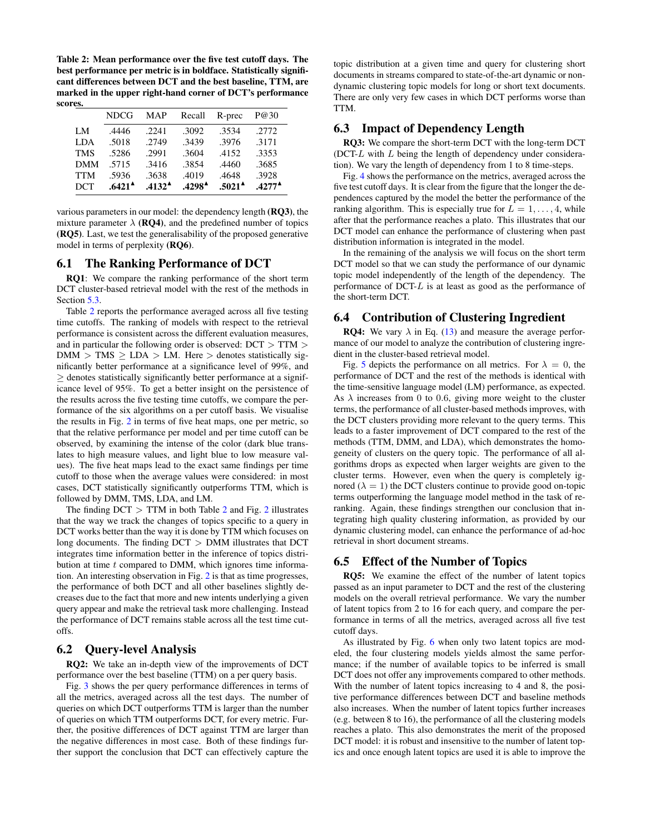<span id="page-6-0"></span>Table 2: Mean performance over the five test cutoff days. The best performance per metric is in boldface. Statistically significant differences between DCT and the best baseline, TTM, are marked in the upper right-hand corner of DCT's performance scores.

|            | NDCG                                      | MAP                                       | Recall              | R-prec             | P@30      |
|------------|-------------------------------------------|-------------------------------------------|---------------------|--------------------|-----------|
| LM.        | .4446                                     | .2241                                     | .3092               | .3534              | .2772     |
| <b>LDA</b> | .5018                                     | .2749                                     | .3439               | .3976              | .3171     |
| <b>TMS</b> | .5286                                     | .2991                                     | .3604               | .4152              | .3353     |
| <b>DMM</b> | .5715                                     | .3416                                     | .3854               | .4460              | .3685     |
| <b>TTM</b> | .5936                                     | .3638                                     | .4019               | .4648              | .3928     |
| <b>DCT</b> | $.6421$ <sup><math>\triangle</math></sup> | $.4132$ <sup><math>\triangle</math></sup> | $.4298^{\triangle}$ | .5021 <sup>4</sup> | $.4277^*$ |

various parameters in our model: the dependency length (RQ3), the mixture parameter  $\lambda$  (**RO4**), and the predefined number of topics (RQ5). Last, we test the generalisability of the proposed generative model in terms of perplexity (RQ6).

#### 6.1 The Ranking Performance of DCT

RQ1: We compare the ranking performance of the short term DCT cluster-based retrieval model with the rest of the methods in Section [5.3.](#page-5-4)

Table [2](#page-6-0) reports the performance averaged across all five testing time cutoffs. The ranking of models with respect to the retrieval performance is consistent across the different evaluation measures, and in particular the following order is observed: DCT > TTM >  $DMM > TMS > LDA > LM$ . Here  $>$  denotes statistically significantly better performance at a significance level of 99%, and  $\geq$  denotes statistically significantly better performance at a significance level of 95%. To get a better insight on the persistence of the results across the five testing time cutoffs, we compare the performance of the six algorithms on a per cutoff basis. We visualise the results in Fig. [2](#page-7-1) in terms of five heat maps, one per metric, so that the relative performance per model and per time cutoff can be observed, by examining the intense of the color (dark blue translates to high measure values, and light blue to low measure values). The five heat maps lead to the exact same findings per time cutoff to those when the average values were considered: in most cases, DCT statistically significantly outperforms TTM, which is followed by DMM, TMS, LDA, and LM.

The finding  $DCT > TTM$  in both Table [2](#page-7-1) and Fig. 2 illustrates that the way we track the changes of topics specific to a query in DCT works better than the way it is done by TTM which focuses on long documents. The finding DCT > DMM illustrates that DCT integrates time information better in the inference of topics distribution at time  $t$  compared to DMM, which ignores time information. An interesting observation in Fig. [2](#page-7-1) is that as time progresses, the performance of both DCT and all other baselines slightly decreases due to the fact that more and new intents underlying a given query appear and make the retrieval task more challenging. Instead the performance of DCT remains stable across all the test time cutoffs.

#### 6.2 Query-level Analysis

RQ2: We take an in-depth view of the improvements of DCT performance over the best baseline (TTM) on a per query basis.

Fig. [3](#page-7-2) shows the per query performance differences in terms of all the metrics, averaged across all the test days. The number of queries on which DCT outperforms TTM is larger than the number of queries on which TTM outperforms DCT, for every metric. Further, the positive differences of DCT against TTM are larger than the negative differences in most case. Both of these findings further support the conclusion that DCT can effectively capture the

topic distribution at a given time and query for clustering short documents in streams compared to state-of-the-art dynamic or nondynamic clustering topic models for long or short text documents. There are only very few cases in which DCT performs worse than TTM.

### 6.3 Impact of Dependency Length

RQ3: We compare the short-term DCT with the long-term DCT (DCT-L with L being the length of dependency under consideration). We vary the length of dependency from 1 to 8 time-steps.

Fig. [4](#page-7-3) shows the performance on the metrics, averaged across the five test cutoff days. It is clear from the figure that the longer the dependences captured by the model the better the performance of the ranking algorithm. This is especially true for  $L = 1, \ldots, 4$ , while after that the performance reaches a plato. This illustrates that our DCT model can enhance the performance of clustering when past distribution information is integrated in the model.

In the remaining of the analysis we will focus on the short term DCT model so that we can study the performance of our dynamic topic model independently of the length of the dependency. The performance of DCT-L is at least as good as the performance of the short-term DCT.

### 6.4 Contribution of Clustering Ingredient

**RQ4:** We vary  $\lambda$  in Eq. [\(13\)](#page-4-5) and measure the average performance of our model to analyze the contribution of clustering ingredient in the cluster-based retrieval model.

Fig. [5](#page-8-26) depicts the performance on all metrics. For  $\lambda = 0$ , the performance of DCT and the rest of the methods is identical with the time-sensitive language model (LM) performance, as expected. As  $\lambda$  increases from 0 to 0.6, giving more weight to the cluster terms, the performance of all cluster-based methods improves, with the DCT clusters providing more relevant to the query terms. This leads to a faster improvement of DCT compared to the rest of the methods (TTM, DMM, and LDA), which demonstrates the homogeneity of clusters on the query topic. The performance of all algorithms drops as expected when larger weights are given to the cluster terms. However, even when the query is completely ignored ( $\lambda = 1$ ) the DCT clusters continue to provide good on-topic terms outperforming the language model method in the task of reranking. Again, these findings strengthen our conclusion that integrating high quality clustering information, as provided by our dynamic clustering model, can enhance the performance of ad-hoc retrieval in short document streams.

# 6.5 Effect of the Number of Topics

RQ5: We examine the effect of the number of latent topics passed as an input parameter to DCT and the rest of the clustering models on the overall retrieval performance. We vary the number of latent topics from 2 to 16 for each query, and compare the performance in terms of all the metrics, averaged across all five test cutoff days.

As illustrated by Fig. [6](#page-8-27) when only two latent topics are modeled, the four clustering models yields almost the same performance; if the number of available topics to be inferred is small DCT does not offer any improvements compared to other methods. With the number of latent topics increasing to 4 and 8, the positive performance differences between DCT and baseline methods also increases. When the number of latent topics further increases (e.g. between 8 to 16), the performance of all the clustering models reaches a plato. This also demonstrates the merit of the proposed DCT model: it is robust and insensitive to the number of latent topics and once enough latent topics are used it is able to improve the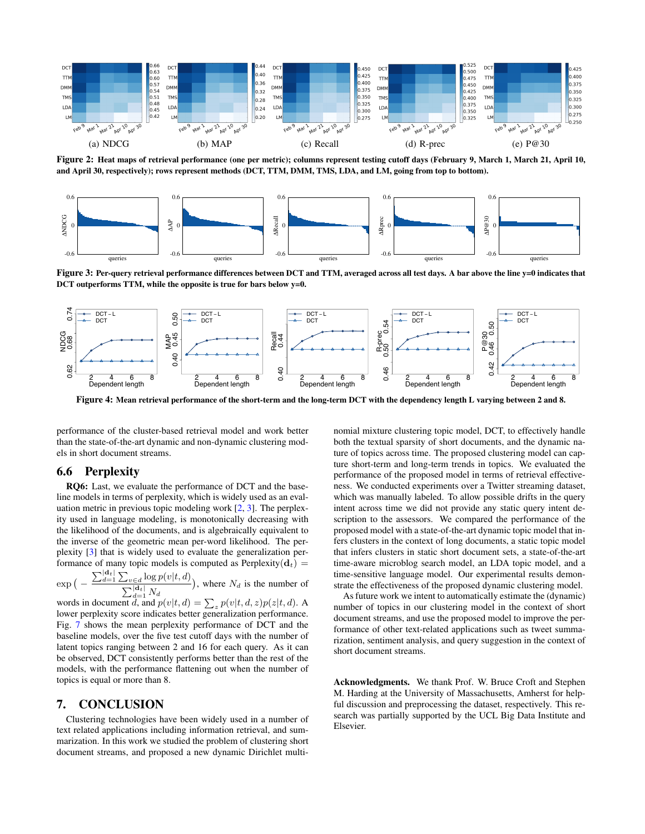

<span id="page-7-1"></span>Figure 2: Heat maps of retrieval performance (one per metric); columns represent testing cutoff days (February 9, March 1, March 21, April 10, and April 30, respectively); rows represent methods (DCT, TTM, DMM, TMS, LDA, and LM, going from top to bottom).



<span id="page-7-2"></span>Figure 3: Per-query retrieval performance differences between DCT and TTM, averaged across all test days. A bar above the line y=0 indicates that DCT outperforms TTM, while the opposite is true for bars below  $v=0$ .



<span id="page-7-3"></span>Figure 4: Mean retrieval performance of the short-term and the long-term DCT with the dependency length L varying between 2 and 8.

performance of the cluster-based retrieval model and work better than the state-of-the-art dynamic and non-dynamic clustering models in short document streams.

# 6.6 Perplexity

RQ6: Last, we evaluate the performance of DCT and the baseline models in terms of perplexity, which is widely used as an evaluation metric in previous topic modeling work [\[2,](#page-8-15) [3\]](#page-8-9). The perplexity used in language modeling, is monotonically decreasing with the likelihood of the documents, and is algebraically equivalent to the inverse of the geometric mean per-word likelihood. The perplexity [\[3\]](#page-8-9) that is widely used to evaluate the generalization performance of many topic models is computed as Perplexity $(d<sub>t</sub>)$  =

 $\exp\Big(-\frac{\angle d=1\angle_{v\in d}\frac{\log R}{\log R}}{\sum_{d=1}^{|{\bf d}_t|}N_d}$  $\frac{\sum_{d=1}^{|d_t|} \sum_{v \in d} \log p(v|t, d)}{\sum_{d=1}^{|d_t|} \sum_{v \in d} \log p(v|t, d)},$  where  $N_d$  is the number of

words in document d, and  $p(v|t, d) = \sum_{z} p(v|t, d, z)p(z|t, d)$ . A lower perplexity score indicates better generalization performance. Fig. [7](#page-8-28) shows the mean perplexity performance of DCT and the baseline models, over the five test cutoff days with the number of latent topics ranging between 2 and 16 for each query. As it can be observed, DCT consistently performs better than the rest of the models, with the performance flattening out when the number of topics is equal or more than 8.

#### <span id="page-7-0"></span>7. CONCLUSION

Clustering technologies have been widely used in a number of text related applications including information retrieval, and summarization. In this work we studied the problem of clustering short document streams, and proposed a new dynamic Dirichlet multinomial mixture clustering topic model, DCT, to effectively handle both the textual sparsity of short documents, and the dynamic nature of topics across time. The proposed clustering model can capture short-term and long-term trends in topics. We evaluated the performance of the proposed model in terms of retrieval effectiveness. We conducted experiments over a Twitter streaming dataset, which was manually labeled. To allow possible drifts in the query intent across time we did not provide any static query intent description to the assessors. We compared the performance of the proposed model with a state-of-the-art dynamic topic model that infers clusters in the context of long documents, a static topic model that infers clusters in static short document sets, a state-of-the-art time-aware microblog search model, an LDA topic model, and a time-sensitive language model. Our experimental results demonstrate the effectiveness of the proposed dynamic clustering model.

As future work we intent to automatically estimate the (dynamic) number of topics in our clustering model in the context of short document streams, and use the proposed model to improve the performance of other text-related applications such as tweet summarization, sentiment analysis, and query suggestion in the context of short document streams.

Acknowledgments. We thank Prof. W. Bruce Croft and Stephen M. Harding at the University of Massachusetts, Amherst for helpful discussion and preprocessing the dataset, respectively. This research was partially supported by the UCL Big Data Institute and Elsevier.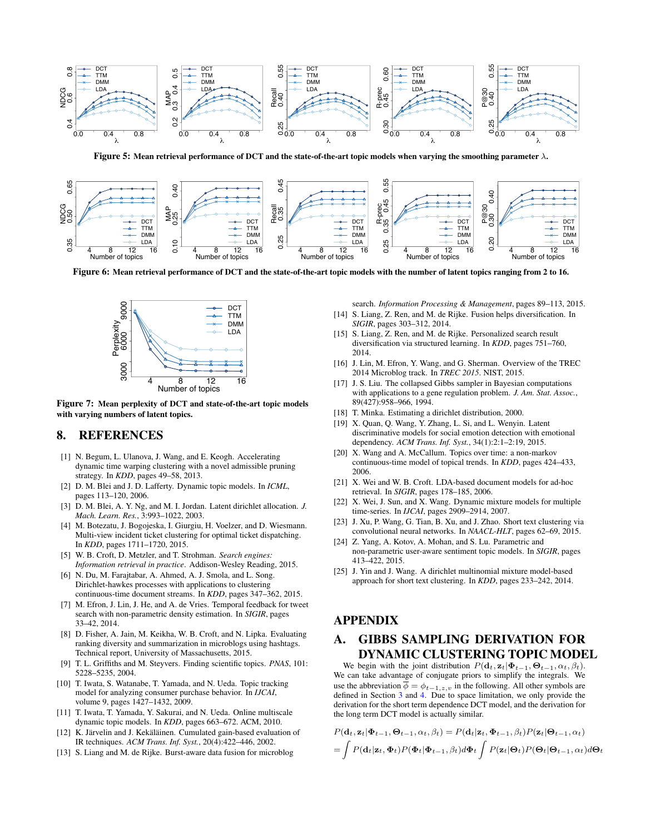

<span id="page-8-26"></span>Figure 5: Mean retrieval performance of DCT and the state-of-the-art topic models when varying the smoothing parameter  $\lambda$ .



Figure 6: Mean retrieval performance of DCT and the state-of-the-art topic models with the number of latent topics ranging from 2 to 16.

<span id="page-8-27"></span>

<span id="page-8-28"></span>Figure 7: Mean perplexity of DCT and state-of-the-art topic models with varying numbers of latent topics.

### 8. REFERENCES

- <span id="page-8-6"></span>[1] N. Begum, L. Ulanova, J. Wang, and E. Keogh. Accelerating dynamic time warping clustering with a novel admissible pruning strategy. In *KDD*, pages 49–58, 2013.
- <span id="page-8-15"></span>[2] D. M. Blei and J. D. Lafferty. Dynamic topic models. In *ICML*, pages 113–120, 2006.
- <span id="page-8-9"></span>[3] D. M. Blei, A. Y. Ng, and M. I. Jordan. Latent dirichlet allocation. *J. Mach. Learn. Res.*, 3:993–1022, 2003.
- <span id="page-8-13"></span>[4] M. Botezatu, J. Bogojeska, I. Giurgiu, H. Voelzer, and D. Wiesmann. Multi-view incident ticket clustering for optimal ticket dispatching. In *KDD*, pages 1711–1720, 2015.
- <span id="page-8-2"></span>[5] W. B. Croft, D. Metzler, and T. Strohman. *Search engines: Information retrieval in practice*. Addison-Wesley Reading, 2015.
- <span id="page-8-0"></span>[6] N. Du, M. Farajtabar, A. Ahmed, A. J. Smola, and L. Song. Dirichlet-hawkes processes with applications to clustering continuous-time document streams. In *KDD*, pages 347–362, 2015.
- <span id="page-8-3"></span>[7] M. Efron, J. Lin, J. He, and A. de Vries. Temporal feedback for tweet search with non-parametric density estimation. In *SIGIR*, pages 33–42, 2014.
- <span id="page-8-24"></span>[8] D. Fisher, A. Jain, M. Keikha, W. B. Croft, and N. Lipka. Evaluating ranking diversity and summarization in microblogs using hashtags. Technical report, University of Massachusetts, 2015.
- <span id="page-8-20"></span>[9] T. L. Griffiths and M. Steyvers. Finding scientific topics. *PNAS*, 101: 5228–5235, 2004.
- <span id="page-8-7"></span>[10] T. Iwata, S. Watanabe, T. Yamada, and N. Ueda. Topic tracking model for analyzing consumer purchase behavior. In *IJCAI*, volume 9, pages 1427–1432, 2009.
- <span id="page-8-10"></span>[11] T. Iwata, T. Yamada, Y. Sakurai, and N. Ueda. Online multiscale dynamic topic models. In *KDD*, pages 663–672. ACM, 2010.
- <span id="page-8-25"></span>[12] K. Järvelin and J. Kekäläinen. Cumulated gain-based evaluation of IR techniques. *ACM Trans. Inf. Syst.*, 20(4):422–446, 2002.
- <span id="page-8-4"></span>[13] S. Liang and M. de Rijke. Burst-aware data fusion for microblog

search. *Information Processing & Management*, pages 89–113, 2015.

- <span id="page-8-17"></span>[14] S. Liang, Z. Ren, and M. de Rijke. Fusion helps diversification. In *SIGIR*, pages 303–312, 2014.
- <span id="page-8-18"></span>[15] S. Liang, Z. Ren, and M. de Rijke. Personalized search result diversification via structured learning. In *KDD*, pages 751–760, 2014.
- <span id="page-8-23"></span>[16] J. Lin, M. Efron, Y. Wang, and G. Sherman. Overview of the TREC 2014 Microblog track. In *TREC 2015*. NIST, 2015.
- <span id="page-8-16"></span>[17] J. S. Liu. The collapsed Gibbs sampler in Bayesian computations with applications to a gene regulation problem. *J. Am. Stat. Assoc.*, 89(427):958–966, 1994.
- <span id="page-8-22"></span>[18] T. Minka. Estimating a dirichlet distribution, 2000.
- <span id="page-8-19"></span>[19] X. Quan, Q. Wang, Y. Zhang, L. Si, and L. Wenyin. Latent discriminative models for social emotion detection with emotional dependency. *ACM Trans. Inf. Syst.*, 34(1):2:1–2:19, 2015.
- <span id="page-8-1"></span>[20] X. Wang and A. McCallum. Topics over time: a non-markov continuous-time model of topical trends. In *KDD*, pages 424–433, 2006.
- <span id="page-8-12"></span>[21] X. Wei and W. B. Croft. LDA-based document models for ad-hoc retrieval. In *SIGIR*, pages 178–185, 2006.
- <span id="page-8-8"></span>[22] X. Wei, J. Sun, and X. Wang. Dynamic mixture models for multiple time-series. In *IJCAI*, pages 2909–2914, 2007.
- <span id="page-8-14"></span>[23] J. Xu, P. Wang, G. Tian, B. Xu, and J. Zhao. Short text clustering via convolutional neural networks. In *NAACL-HLT*, pages 62–69, 2015.
- <span id="page-8-11"></span>[24] Z. Yang, A. Kotov, A. Mohan, and S. Lu. Parametric and non-parametric user-aware sentiment topic models. In *SIGIR*, pages 413–422, 2015.
- <span id="page-8-5"></span>[25] J. Yin and J. Wang. A dirichlet multinomial mixture model-based approach for short text clustering. In *KDD*, pages 233–242, 2014.

### APPENDIX

# <span id="page-8-21"></span>A. GIBBS SAMPLING DERIVATION FOR DYNAMIC CLUSTERING TOPIC MODEL

We begin with the joint distribution  $P(\mathbf{d}_t, \mathbf{z}_t | \mathbf{\Phi}_{t-1}, \mathbf{\Theta}_{t-1}, \alpha_t, \beta_t)$ . We can take advantage of conjugate priors to simplify the integrals. We use the abbreviation  $\overline{\phi} = \phi_{t-1,z,v}$  in the following. All other symbols are defined in Section [3](#page-1-1) and [4.](#page-2-0) Due to space limitation, we only provide the derivation for the short term dependence DCT model, and the derivation for the long term DCT model is actually similar.

$$
P(\mathbf{d}_t, \mathbf{z}_t | \mathbf{\Phi}_{t-1}, \mathbf{\Theta}_{t-1}, \alpha_t, \beta_t) = P(\mathbf{d}_t | \mathbf{z}_t, \mathbf{\Phi}_{t-1}, \beta_t) P(\mathbf{z}_t | \mathbf{\Theta}_{t-1}, \alpha_t)
$$
  
= 
$$
\int P(\mathbf{d}_t | \mathbf{z}_t, \mathbf{\Phi}_t) P(\mathbf{\Phi}_t | \mathbf{\Phi}_{t-1}, \beta_t) d\mathbf{\Phi}_t \int P(\mathbf{z}_t | \mathbf{\Theta}_t) P(\mathbf{\Theta}_t | \mathbf{\Theta}_{t-1}, \alpha_t) d\mathbf{\Theta}_t
$$